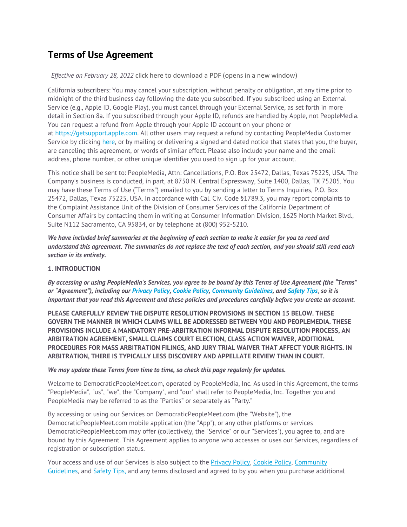# **Terms of Use Agreement**

# *Effective on February 28, 2022* click here to download a PDF (opens in a new window)

California subscribers: You may cancel your subscription, without penalty or obligation, at any time prior to midnight of the third business day following the date you subscribed. If you subscribed using an External Service (e.g., Apple ID, Google Play), you must cancel through your External Service, as set forth in more detail in Section 8a. If you subscribed through your Apple ID, refunds are handled by Apple, not PeopleMedia. You can request a refund from Apple through your Apple ID account on your phone or at https://getsupport.apple.com. All other users may request a refund by contacting PeopleMedia Customer Service by clicking here, or by mailing or delivering a signed and dated notice that states that you, the buyer, are canceling this agreement, or words of similar effect. Please also include your name and the email address, phone number, or other unique identifier you used to sign up for your account.

This notice shall be sent to: PeopleMedia, Attn: Cancellations, P.O. Box 25472, Dallas, Texas 75225, USA. The Company's business is conducted, in part, at 8750 N. Central Expressway, Suite 1400, Dallas, TX 75205. You may have these Terms of Use ("Terms") emailed to you by sending a letter to Terms Inquiries, P.O. Box 25472, Dallas, Texas 75225, USA. In accordance with Cal. Civ. Code §1789.3, you may report complaints to the Complaint Assistance Unit of the Division of Consumer Services of the California Department of Consumer Affairs by contacting them in writing at Consumer Information Division, 1625 North Market Blvd., Suite N112 Sacramento, CA 95834, or by telephone at (800) 952-5210.

*We have included brief summaries at the beginning of each section to make it easier for you to read and understand this agreement. The summaries do not replace the text of each section, and you should still read each section in its entirety.*

# **1. INTRODUCTION**

*By accessing or using PeopleMedia's Services, you agree to be bound by this Terms of Use Agreement (the "Terms" or "Agreement"), including our Privacy Policy, Cookie Policy, Community Guidelines, and Safety Tips*, *so it is important that you read this Agreement and these policies and procedures carefully before you create an account.* 

**PLEASE CAREFULLY REVIEW THE DISPUTE RESOLUTION PROVISIONS IN SECTION 15 BELOW. THESE GOVERN THE MANNER IN WHICH CLAIMS WILL BE ADDRESSED BETWEEN YOU AND PEOPLEMEDIA. THESE PROVISIONS INCLUDE A MANDATORY PRE-ARBITRATION INFORMAL DISPUTE RESOLUTION PROCESS, AN ARBITRATION AGREEMENT, SMALL CLAIMS COURT ELECTION, CLASS ACTION WAIVER, ADDITIONAL PROCEDURES FOR MASS ARBITRATION FILINGS, AND JURY TRIAL WAIVER THAT AFFECT YOUR RIGHTS. IN ARBITRATION, THERE IS TYPICALLY LESS DISCOVERY AND APPELLATE REVIEW THAN IN COURT.** 

# *We may update these Terms from time to time, so check this page regularly for updates.*

Welcome to DemocraticPeopleMeet.com, operated by PeopleMedia, Inc. As used in this Agreement, the terms "PeopleMedia", "us", "we", the "Company", and "our" shall refer to PeopleMedia, Inc. Together you and PeopleMedia may be referred to as the "Parties" or separately as "Party."

By accessing or using our Services on DemocraticPeopleMeet.com (the "Website"), the DemocraticPeopleMeet.com mobile application (the "App"), or any other platforms or services DemocraticPeopleMeet.com may offer (collectively, the "Service" or our "Services"), you agree to, and are bound by this Agreement. This Agreement applies to anyone who accesses or uses our Services, regardless of registration or subscription status.

Your access and use of our Services is also subject to the Privacy Policy, Cookie Policy, Community Guidelines, and Safety Tips, and any terms disclosed and agreed to by you when you purchase additional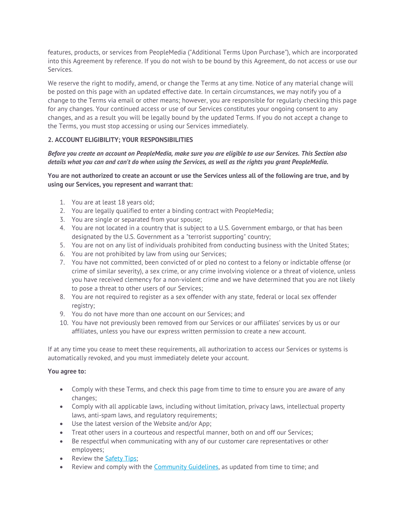features, products, or services from PeopleMedia ("Additional Terms Upon Purchase"), which are incorporated into this Agreement by reference. If you do not wish to be bound by this Agreement, do not access or use our Services.

We reserve the right to modify, amend, or change the Terms at any time. Notice of any material change will be posted on this page with an updated effective date. In certain circumstances, we may notify you of a change to the Terms via email or other means; however, you are responsible for regularly checking this page for any changes. Your continued access or use of our Services constitutes your ongoing consent to any changes, and as a result you will be legally bound by the updated Terms. If you do not accept a change to the Terms, you must stop accessing or using our Services immediately.

# **2. ACCOUNT ELIGIBILITY; YOUR RESPONSIBILITIES**

# *Before you create an account on PeopleMedia, make sure you are eligible to use our Services. This Section also details what you can and can't do when using the Services, as well as the rights you grant PeopleMedia.*

# **You are not authorized to create an account or use the Services unless all of the following are true, and by using our Services, you represent and warrant that:**

- 1. You are at least 18 years old;
- 2. You are legally qualified to enter a binding contract with PeopleMedia;
- 3. You are single or separated from your spouse;
- 4. You are not located in a country that is subject to a U.S. Government embargo, or that has been designated by the U.S. Government as a "terrorist supporting" country;
- 5. You are not on any list of individuals prohibited from conducting business with the United States;
- 6. You are not prohibited by law from using our Services;
- 7. You have not committed, been convicted of or pled no contest to a felony or indictable offense (or crime of similar severity), a sex crime, or any crime involving violence or a threat of violence, unless you have received clemency for a non-violent crime and we have determined that you are not likely to pose a threat to other users of our Services;
- 8. You are not required to register as a sex offender with any state, federal or local sex offender registry;
- 9. You do not have more than one account on our Services; and
- 10. You have not previously been removed from our Services or our affiliates' services by us or our affiliates, unless you have our express written permission to create a new account.

If at any time you cease to meet these requirements, all authorization to access our Services or systems is automatically revoked, and you must immediately delete your account.

# **You agree to:**

- Comply with these Terms, and check this page from time to time to ensure you are aware of any changes;
- Comply with all applicable laws, including without limitation, privacy laws, intellectual property laws, anti-spam laws, and regulatory requirements;
- Use the latest version of the Website and/or App;
- Treat other users in a courteous and respectful manner, both on and off our Services;
- Be respectful when communicating with any of our customer care representatives or other employees;
- Review the Safety Tips;
- Review and comply with the Community Guidelines, as updated from time to time; and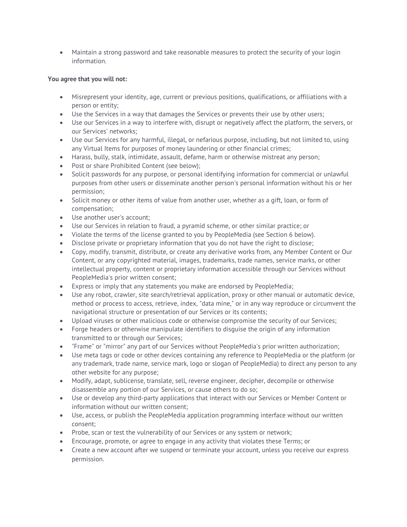Maintain a strong password and take reasonable measures to protect the security of your login information.

# **You agree that you will not:**

- Misrepresent your identity, age, current or previous positions, qualifications, or affiliations with a person or entity;
- Use the Services in a way that damages the Services or prevents their use by other users;
- Use our Services in a way to interfere with, disrupt or negatively affect the platform, the servers, or our Services' networks;
- Use our Services for any harmful, illegal, or nefarious purpose, including, but not limited to, using any Virtual Items for purposes of money laundering or other financial crimes;
- Harass, bully, stalk, intimidate, assault, defame, harm or otherwise mistreat any person;
- Post or share Prohibited Content (see below);
- Solicit passwords for any purpose, or personal identifying information for commercial or unlawful purposes from other users or disseminate another person's personal information without his or her permission;
- Solicit money or other items of value from another user, whether as a gift, loan, or form of compensation;
- Use another user's account;
- Use our Services in relation to fraud, a pyramid scheme, or other similar practice; or
- Violate the terms of the license granted to you by PeopleMedia (see Section 6 below).
- Disclose private or proprietary information that you do not have the right to disclose;
- Copy, modify, transmit, distribute, or create any derivative works from, any Member Content or Our Content, or any copyrighted material, images, trademarks, trade names, service marks, or other intellectual property, content or proprietary information accessible through our Services without PeopleMedia's prior written consent;
- Express or imply that any statements you make are endorsed by PeopleMedia;
- Use any robot, crawler, site search/retrieval application, proxy or other manual or automatic device, method or process to access, retrieve, index, "data mine," or in any way reproduce or circumvent the navigational structure or presentation of our Services or its contents;
- Upload viruses or other malicious code or otherwise compromise the security of our Services;
- Forge headers or otherwise manipulate identifiers to disguise the origin of any information transmitted to or through our Services;
- "Frame" or "mirror" any part of our Services without PeopleMedia's prior written authorization;
- Use meta tags or code or other devices containing any reference to PeopleMedia or the platform (or any trademark, trade name, service mark, logo or slogan of PeopleMedia) to direct any person to any other website for any purpose;
- Modify, adapt, sublicense, translate, sell, reverse engineer, decipher, decompile or otherwise disassemble any portion of our Services, or cause others to do so;
- Use or develop any third-party applications that interact with our Services or Member Content or information without our written consent;
- Use, access, or publish the PeopleMedia application programming interface without our written consent;
- Probe, scan or test the vulnerability of our Services or any system or network;
- Encourage, promote, or agree to engage in any activity that violates these Terms; or
- Create a new account after we suspend or terminate your account, unless you receive our express permission.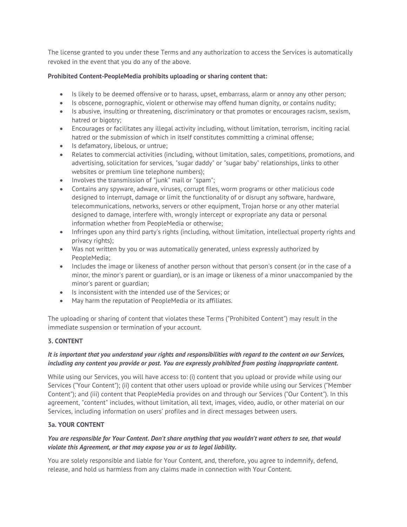The license granted to you under these Terms and any authorization to access the Services is automatically revoked in the event that you do any of the above.

# **Prohibited Content-PeopleMedia prohibits uploading or sharing content that:**

- Is likely to be deemed offensive or to harass, upset, embarrass, alarm or annoy any other person;
- Is obscene, pornographic, violent or otherwise may offend human dignity, or contains nudity;
- Is abusive, insulting or threatening, discriminatory or that promotes or encourages racism, sexism, hatred or bigotry;
- Encourages or facilitates any illegal activity including, without limitation, terrorism, inciting racial hatred or the submission of which in itself constitutes committing a criminal offense;
- Is defamatory, libelous, or untrue;
- Relates to commercial activities (including, without limitation, sales, competitions, promotions, and advertising, solicitation for services, "sugar daddy" or "sugar baby" relationships, links to other websites or premium line telephone numbers);
- $\bullet$  Involves the transmission of "junk" mail or "spam";
- Contains any spyware, adware, viruses, corrupt files, worm programs or other malicious code designed to interrupt, damage or limit the functionality of or disrupt any software, hardware, telecommunications, networks, servers or other equipment, Trojan horse or any other material designed to damage, interfere with, wrongly intercept or expropriate any data or personal information whether from PeopleMedia or otherwise;
- Infringes upon any third party's rights (including, without limitation, intellectual property rights and privacy rights);
- Was not written by you or was automatically generated, unless expressly authorized by PeopleMedia;
- Includes the image or likeness of another person without that person's consent (or in the case of a minor, the minor's parent or guardian), or is an image or likeness of a minor unaccompanied by the minor's parent or guardian;
- Is inconsistent with the intended use of the Services; or
- May harm the reputation of PeopleMedia or its affiliates.

The uploading or sharing of content that violates these Terms ("Prohibited Content") may result in the immediate suspension or termination of your account.

# **3. CONTENT**

# *It is important that you understand your rights and responsibilities with regard to the content on our Services, including any content you provide or post. You are expressly prohibited from posting inappropriate content.*

While using our Services, you will have access to: (i) content that you upload or provide while using our Services ("Your Content"); (ii) content that other users upload or provide while using our Services ("Member Content"); and (iii) content that PeopleMedia provides on and through our Services ("Our Content"). In this agreement, "content" includes, without limitation, all text, images, video, audio, or other material on our Services, including information on users' profiles and in direct messages between users.

# **3a. YOUR CONTENT**

# *You are responsible for Your Content. Don't share anything that you wouldn't want others to see, that would violate this Agreement, or that may expose you or us to legal liability.*

You are solely responsible and liable for Your Content, and, therefore, you agree to indemnify, defend, release, and hold us harmless from any claims made in connection with Your Content.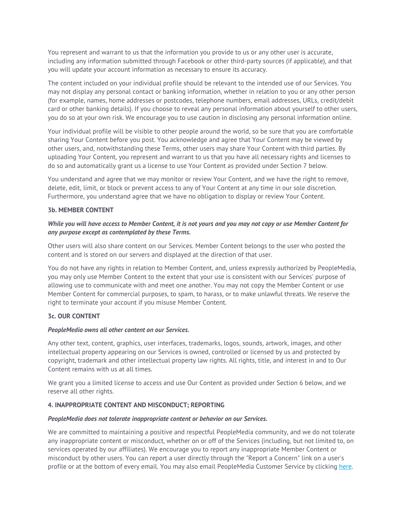You represent and warrant to us that the information you provide to us or any other user is accurate, including any information submitted through Facebook or other third-party sources (if applicable), and that you will update your account information as necessary to ensure its accuracy.

The content included on your individual profile should be relevant to the intended use of our Services. You may not display any personal contact or banking information, whether in relation to you or any other person (for example, names, home addresses or postcodes, telephone numbers, email addresses, URLs, credit/debit card or other banking details). If you choose to reveal any personal information about yourself to other users, you do so at your own risk. We encourage you to use caution in disclosing any personal information online.

Your individual profile will be visible to other people around the world, so be sure that you are comfortable sharing Your Content before you post. You acknowledge and agree that Your Content may be viewed by other users, and, notwithstanding these Terms, other users may share Your Content with third parties. By uploading Your Content, you represent and warrant to us that you have all necessary rights and licenses to do so and automatically grant us a license to use Your Content as provided under Section 7 below.

You understand and agree that we may monitor or review Your Content, and we have the right to remove, delete, edit, limit, or block or prevent access to any of Your Content at any time in our sole discretion. Furthermore, you understand agree that we have no obligation to display or review Your Content.

# **3b. MEMBER CONTENT**

# *While you will have access to Member Content, it is not yours and you may not copy or use Member Content for any purpose except as contemplated by these Terms.*

Other users will also share content on our Services. Member Content belongs to the user who posted the content and is stored on our servers and displayed at the direction of that user.

You do not have any rights in relation to Member Content, and, unless expressly authorized by PeopleMedia, you may only use Member Content to the extent that your use is consistent with our Services' purpose of allowing use to communicate with and meet one another. You may not copy the Member Content or use Member Content for commercial purposes, to spam, to harass, or to make unlawful threats. We reserve the right to terminate your account if you misuse Member Content.

# **3c. OUR CONTENT**

#### *PeopleMedia owns all other content on our Services.*

Any other text, content, graphics, user interfaces, trademarks, logos, sounds, artwork, images, and other intellectual property appearing on our Services is owned, controlled or licensed by us and protected by copyright, trademark and other intellectual property law rights. All rights, title, and interest in and to Our Content remains with us at all times.

We grant you a limited license to access and use Our Content as provided under Section 6 below, and we reserve all other rights.

# **4. INAPPROPRIATE CONTENT AND MISCONDUCT; REPORTING**

#### *PeopleMedia does not tolerate inappropriate content or behavior on our Services.*

We are committed to maintaining a positive and respectful PeopleMedia community, and we do not tolerate any inappropriate content or misconduct, whether on or off of the Services (including, but not limited to, on services operated by our affiliates). We encourage you to report any inappropriate Member Content or misconduct by other users. You can report a user directly through the "Report a Concern" link on a user's profile or at the bottom of every email. You may also email PeopleMedia Customer Service by clicking here.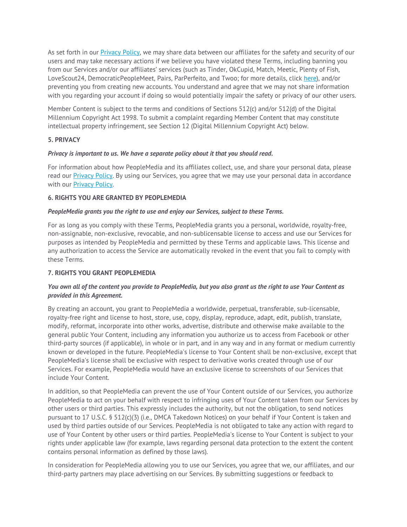As set forth in our Privacy Policy, we may share data between our affiliates for the safety and security of our users and may take necessary actions if we believe you have violated these Terms, including banning you from our Services and/or our affiliates' services (such as Tinder, OkCupid, Match, Meetic, Plenty of Fish, LoveScout24, DemocraticPeopleMeet, Pairs, ParPerfeito, and Twoo; for more details, click here), and/or preventing you from creating new accounts. You understand and agree that we may not share information with you regarding your account if doing so would potentially impair the safety or privacy of our other users.

Member Content is subject to the terms and conditions of Sections 512(c) and/or 512(d) of the Digital Millennium Copyright Act 1998. To submit a complaint regarding Member Content that may constitute intellectual property infringement, see Section 12 (Digital Millennium Copyright Act) below.

# **5. PRIVACY**

# *Privacy is important to us. We have a separate policy about it that you should read.*

For information about how PeopleMedia and its affiliates collect, use, and share your personal data, please read our Privacy Policy. By using our Services, you agree that we may use your personal data in accordance with our Privacy Policy.

# **6. RIGHTS YOU ARE GRANTED BY PEOPLEMEDIA**

# *PeopleMedia grants you the right to use and enjoy our Services, subject to these Terms.*

For as long as you comply with these Terms, PeopleMedia grants you a personal, worldwide, royalty-free, non-assignable, non-exclusive, revocable, and non-sublicensable license to access and use our Services for purposes as intended by PeopleMedia and permitted by these Terms and applicable laws. This license and any authorization to access the Service are automatically revoked in the event that you fail to comply with these Terms.

# **7. RIGHTS YOU GRANT PEOPLEMEDIA**

# *You own all of the content you provide to PeopleMedia, but you also grant us the right to use Your Content as provided in this Agreement.*

By creating an account, you grant to PeopleMedia a worldwide, perpetual, transferable, sub-licensable, royalty-free right and license to host, store, use, copy, display, reproduce, adapt, edit, publish, translate, modify, reformat, incorporate into other works, advertise, distribute and otherwise make available to the general public Your Content, including any information you authorize us to access from Facebook or other third-party sources (if applicable), in whole or in part, and in any way and in any format or medium currently known or developed in the future. PeopleMedia's license to Your Content shall be non-exclusive, except that PeopleMedia's license shall be exclusive with respect to derivative works created through use of our Services. For example, PeopleMedia would have an exclusive license to screenshots of our Services that include Your Content.

In addition, so that PeopleMedia can prevent the use of Your Content outside of our Services, you authorize PeopleMedia to act on your behalf with respect to infringing uses of Your Content taken from our Services by other users or third parties. This expressly includes the authority, but not the obligation, to send notices pursuant to 17 U.S.C. § 512(c)(3) (i.e., DMCA Takedown Notices) on your behalf if Your Content is taken and used by third parties outside of our Services. PeopleMedia is not obligated to take any action with regard to use of Your Content by other users or third parties. PeopleMedia's license to Your Content is subject to your rights under applicable law (for example, laws regarding personal data protection to the extent the content contains personal information as defined by those laws).

In consideration for PeopleMedia allowing you to use our Services, you agree that we, our affiliates, and our third-party partners may place advertising on our Services. By submitting suggestions or feedback to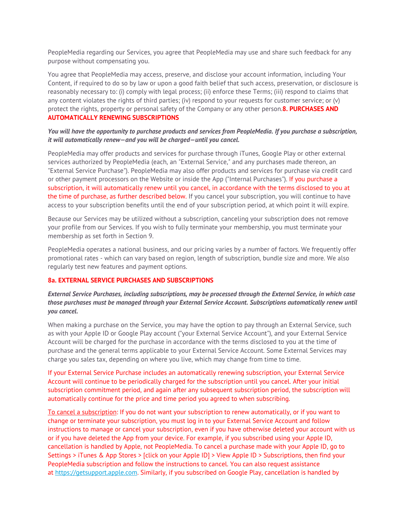PeopleMedia regarding our Services, you agree that PeopleMedia may use and share such feedback for any purpose without compensating you.

You agree that PeopleMedia may access, preserve, and disclose your account information, including Your Content, if required to do so by law or upon a good faith belief that such access, preservation, or disclosure is reasonably necessary to: (i) comply with legal process; (ii) enforce these Terms; (iii) respond to claims that any content violates the rights of third parties; (iv) respond to your requests for customer service; or (v) protect the rights, property or personal safety of the Company or any other person.**8. PURCHASES AND AUTOMATICALLY RENEWING SUBSCRIPTIONS**

#### *You will have the opportunity to purchase products and services from PeopleMedia. If you purchase a subscription, it will automatically renew—and you will be charged—until you cancel.*

PeopleMedia may offer products and services for purchase through iTunes, Google Play or other external services authorized by PeopleMedia (each, an "External Service," and any purchases made thereon, an "External Service Purchase"). PeopleMedia may also offer products and services for purchase via credit card or other payment processors on the Website or inside the App ("Internal Purchases"). If you purchase a subscription, it will automatically renew until you cancel, in accordance with the terms disclosed to you at the time of purchase, as further described below. If you cancel your subscription, you will continue to have access to your subscription benefits until the end of your subscription period, at which point it will expire.

Because our Services may be utilized without a subscription, canceling your subscription does not remove your profile from our Services. If you wish to fully terminate your membership, you must terminate your membership as set forth in Section 9.

PeopleMedia operates a national business, and our pricing varies by a number of factors. We frequently offer promotional rates - which can vary based on region, length of subscription, bundle size and more. We also regularly test new features and payment options.

# **8a. EXTERNAL SERVICE PURCHASES AND SUBSCRIPTIONS**

# *External Service Purchases, including subscriptions, may be processed through the External Service, in which case those purchases must be managed through your External Service Account. Subscriptions automatically renew until you cancel.*

When making a purchase on the Service, you may have the option to pay through an External Service, such as with your Apple ID or Google Play account ("your External Service Account"), and your External Service Account will be charged for the purchase in accordance with the terms disclosed to you at the time of purchase and the general terms applicable to your External Service Account. Some External Services may charge you sales tax, depending on where you live, which may change from time to time.

If your External Service Purchase includes an automatically renewing subscription, your External Service Account will continue to be periodically charged for the subscription until you cancel. After your initial subscription commitment period, and again after any subsequent subscription period, the subscription will automatically continue for the price and time period you agreed to when subscribing.

To cancel a subscription: If you do not want your subscription to renew automatically, or if you want to change or terminate your subscription, you must log in to your External Service Account and follow instructions to manage or cancel your subscription, even if you have otherwise deleted your account with us or if you have deleted the App from your device. For example, if you subscribed using your Apple ID, cancellation is handled by Apple, not PeopleMedia. To cancel a purchase made with your Apple ID, go to Settings > iTunes & App Stores > [click on your Apple ID] > View Apple ID > Subscriptions, then find your PeopleMedia subscription and follow the instructions to cancel. You can also request assistance at https://getsupport.apple.com. Similarly, if you subscribed on Google Play, cancellation is handled by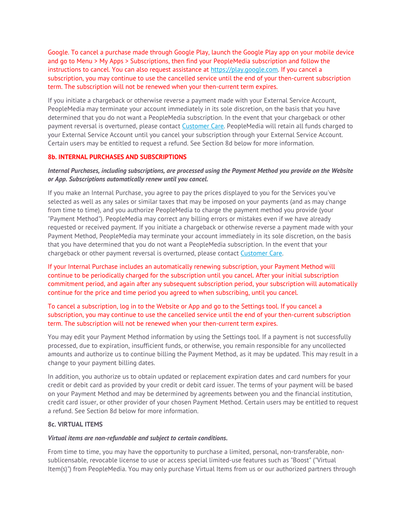Google. To cancel a purchase made through Google Play, launch the Google Play app on your mobile device and go to Menu > My Apps > Subscriptions, then find your PeopleMedia subscription and follow the instructions to cancel. You can also request assistance at https://play.google.com. If you cancel a subscription, you may continue to use the cancelled service until the end of your then-current subscription term. The subscription will not be renewed when your then-current term expires.

If you initiate a chargeback or otherwise reverse a payment made with your External Service Account, PeopleMedia may terminate your account immediately in its sole discretion, on the basis that you have determined that you do not want a PeopleMedia subscription. In the event that your chargeback or other payment reversal is overturned, please contact Customer Care. PeopleMedia will retain all funds charged to your External Service Account until you cancel your subscription through your External Service Account. Certain users may be entitled to request a refund. See Section 8d below for more information.

# **8b. INTERNAL PURCHASES AND SUBSCRIPTIONS**

# *Internal Purchases, including subscriptions, are processed using the Payment Method you provide on the Website or App. Subscriptions automatically renew until you cancel.*

If you make an Internal Purchase, you agree to pay the prices displayed to you for the Services you've selected as well as any sales or similar taxes that may be imposed on your payments (and as may change from time to time), and you authorize PeopleMedia to charge the payment method you provide (your "Payment Method"). PeopleMedia may correct any billing errors or mistakes even if we have already requested or received payment. If you initiate a chargeback or otherwise reverse a payment made with your Payment Method, PeopleMedia may terminate your account immediately in its sole discretion, on the basis that you have determined that you do not want a PeopleMedia subscription. In the event that your chargeback or other payment reversal is overturned, please contact Customer Care.

If your Internal Purchase includes an automatically renewing subscription, your Payment Method will continue to be periodically charged for the subscription until you cancel. After your initial subscription commitment period, and again after any subsequent subscription period, your subscription will automatically continue for the price and time period you agreed to when subscribing, until you cancel.

To cancel a subscription, log in to the Website or App and go to the Settings tool. If you cancel a subscription, you may continue to use the cancelled service until the end of your then-current subscription term. The subscription will not be renewed when your then-current term expires.

You may edit your Payment Method information by using the Settings tool. If a payment is not successfully processed, due to expiration, insufficient funds, or otherwise, you remain responsible for any uncollected amounts and authorize us to continue billing the Payment Method, as it may be updated. This may result in a change to your payment billing dates.

In addition, you authorize us to obtain updated or replacement expiration dates and card numbers for your credit or debit card as provided by your credit or debit card issuer. The terms of your payment will be based on your Payment Method and may be determined by agreements between you and the financial institution, credit card issuer, or other provider of your chosen Payment Method. Certain users may be entitled to request a refund. See Section 8d below for more information.

# **8c. VIRTUAL ITEMS**

#### *Virtual items are non-refundable and subject to certain conditions.*

From time to time, you may have the opportunity to purchase a limited, personal, non-transferable, nonsublicensable, revocable license to use or access special limited-use features such as "Boost" ("Virtual Item(s)") from PeopleMedia. You may only purchase Virtual Items from us or our authorized partners through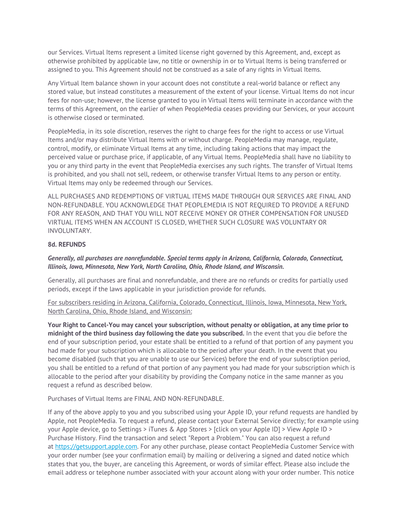our Services. Virtual Items represent a limited license right governed by this Agreement, and, except as otherwise prohibited by applicable law, no title or ownership in or to Virtual Items is being transferred or assigned to you. This Agreement should not be construed as a sale of any rights in Virtual Items.

Any Virtual Item balance shown in your account does not constitute a real-world balance or reflect any stored value, but instead constitutes a measurement of the extent of your license. Virtual Items do not incur fees for non-use; however, the license granted to you in Virtual Items will terminate in accordance with the terms of this Agreement, on the earlier of when PeopleMedia ceases providing our Services, or your account is otherwise closed or terminated.

PeopleMedia, in its sole discretion, reserves the right to charge fees for the right to access or use Virtual Items and/or may distribute Virtual Items with or without charge. PeopleMedia may manage, regulate, control, modify, or eliminate Virtual Items at any time, including taking actions that may impact the perceived value or purchase price, if applicable, of any Virtual Items. PeopleMedia shall have no liability to you or any third party in the event that PeopleMedia exercises any such rights. The transfer of Virtual Items is prohibited, and you shall not sell, redeem, or otherwise transfer Virtual Items to any person or entity. Virtual Items may only be redeemed through our Services.

ALL PURCHASES AND REDEMPTIONS OF VIRTUAL ITEMS MADE THROUGH OUR SERVICES ARE FINAL AND NON-REFUNDABLE. YOU ACKNOWLEDGE THAT PEOPLEMEDIA IS NOT REQUIRED TO PROVIDE A REFUND FOR ANY REASON, AND THAT YOU WILL NOT RECEIVE MONEY OR OTHER COMPENSATION FOR UNUSED VIRTUAL ITEMS WHEN AN ACCOUNT IS CLOSED, WHETHER SUCH CLOSURE WAS VOLUNTARY OR INVOLUNTARY.

# **8d. REFUNDS**

# *Generally, all purchases are nonrefundable. Special terms apply in Arizona, California, Colorado, Connecticut, Illinois, Iowa, Minnesota, New York, North Carolina, Ohio, Rhode Island, and Wisconsin.*

Generally, all purchases are final and nonrefundable, and there are no refunds or credits for partially used periods, except if the laws applicable in your jurisdiction provide for refunds.

For subscribers residing in Arizona, California, Colorado, Connecticut, Illinois, Iowa, Minnesota, New York, North Carolina, Ohio, Rhode Island, and Wisconsin:

**Your Right to Cancel-You may cancel your subscription, without penalty or obligation, at any time prior to midnight of the third business day following the date you subscribed.** In the event that you die before the end of your subscription period, your estate shall be entitled to a refund of that portion of any payment you had made for your subscription which is allocable to the period after your death. In the event that you become disabled (such that you are unable to use our Services) before the end of your subscription period, you shall be entitled to a refund of that portion of any payment you had made for your subscription which is allocable to the period after your disability by providing the Company notice in the same manner as you request a refund as described below.

Purchases of Virtual Items are FINAL AND NON-REFUNDABLE.

If any of the above apply to you and you subscribed using your Apple ID, your refund requests are handled by Apple, not PeopleMedia. To request a refund, please contact your External Service directly; for example using your Apple device, go to Settings > iTunes & App Stores > [click on your Apple ID] > View Apple ID > Purchase History. Find the transaction and select "Report a Problem." You can also request a refund at https://getsupport.apple.com. For any other purchase, please contact PeopleMedia Customer Service with your order number (see your confirmation email) by mailing or delivering a signed and dated notice which states that you, the buyer, are canceling this Agreement, or words of similar effect. Please also include the email address or telephone number associated with your account along with your order number. This notice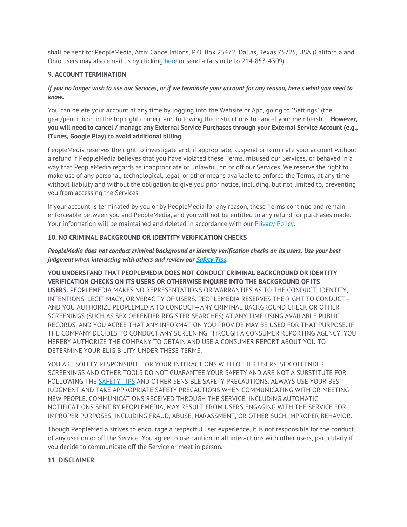shall be sent to: PeopleMedia, Attn: Cancellations, P.O. Box 25472, Dallas, Texas 75225, USA (California and Ohio users may also email us by clicking here or send a facsimile to 214-853-4309).

# **9. ACCOUNT TERMINATION**

# *If you no longer wish to use our Services, or if we terminate your account for any reason, here's what you need to know.*

You can delete your account at any time by logging into the Website or App, going to "Settings" (the gear/pencil icon in the top right corner), and following the instructions to cancel your membership. **However, you will need to cancel / manage any External Service Purchases through your External Service Account (e.g., iTunes, Google Play) to avoid additional billing.**

PeopleMedia reserves the right to investigate and, if appropriate, suspend or terminate your account without a refund if PeopleMedia believes that you have violated these Terms, misused our Services, or behaved in a way that PeopleMedia regards as inappropriate or unlawful, on or off our Services. We reserve the right to make use of any personal, technological, legal, or other means available to enforce the Terms, at any time without liability and without the obligation to give you prior notice, including, but not limited to, preventing you from accessing the Services.

If your account is terminated by you or by PeopleMedia for any reason, these Terms continue and remain enforceable between you and PeopleMedia, and you will not be entitled to any refund for purchases made. Your information will be maintained and deleted in accordance with our Privacy Policy.

# **10. NO CRIMINAL BACKGROUND OR IDENTITY VERIFICATION CHECKS**

# *PeopleMedia does not conduct criminal background or identity verification checks on its users. Use your best judgment when interacting with others and review our Safety Tips.*

# **YOU UNDERSTAND THAT PEOPLEMEDIA DOES NOT CONDUCT CRIMINAL BACKGROUND OR IDENTITY VERIFICATION CHECKS ON ITS USERS OR OTHERWISE INQUIRE INTO THE BACKGROUND OF ITS**

**USERS.** PEOPLEMEDIA MAKES NO REPRESENTATIONS OR WARRANTIES AS TO THE CONDUCT, IDENTITY, INTENTIONS, LEGITIMACY, OR VERACITY OF USERS. PEOPLEMEDIA RESERVES THE RIGHT TO CONDUCT— AND YOU AUTHORIZE PEOPLEMEDIA TO CONDUCT—ANY CRIMINAL BACKGROUND CHECK OR OTHER SCREENINGS (SUCH AS SEX OFFENDER REGISTER SEARCHES) AT ANY TIME USING AVAILABLE PUBLIC RECORDS, AND YOU AGREE THAT ANY INFORMATION YOU PROVIDE MAY BE USED FOR THAT PURPOSE. IF THE COMPANY DECIDES TO CONDUCT ANY SCREENING THROUGH A CONSUMER REPORTING AGENCY, YOU HEREBY AUTHORIZE THE COMPANY TO OBTAIN AND USE A CONSUMER REPORT ABOUT YOU TO DETERMINE YOUR ELIGIBILITY UNDER THESE TERMS.

YOU ARE SOLELY RESPONSIBLE FOR YOUR INTERACTIONS WITH OTHER USERS. SEX OFFENDER SCREENINGS AND OTHER TOOLS DO NOT GUARANTEE YOUR SAFETY AND ARE NOT A SUBSTITUTE FOR FOLLOWING THE SAFETY TIPS AND OTHER SENSIBLE SAFETY PRECAUTIONS. ALWAYS USE YOUR BEST JUDGMENT AND TAKE APPROPRIATE SAFETY PRECAUTIONS WHEN COMMUNICATING WITH OR MEETING NEW PEOPLE. COMMUNICATIONS RECEIVED THROUGH THE SERVICE, INCLUDING AUTOMATIC NOTIFICATIONS SENT BY PEOPLEMEDIA, MAY RESULT FROM USERS ENGAGING WITH THE SERVICE FOR IMPROPER PURPOSES, INCLUDING FRAUD, ABUSE, HARASSMENT, OR OTHER SUCH IMPROPER BEHAVIOR.

Though PeopleMedia strives to encourage a respectful user experience, it is not responsible for the conduct of any user on or off the Service. You agree to use caution in all interactions with other users, particularly if you decide to communicate off the Service or meet in person.

#### **11. DISCLAIMER**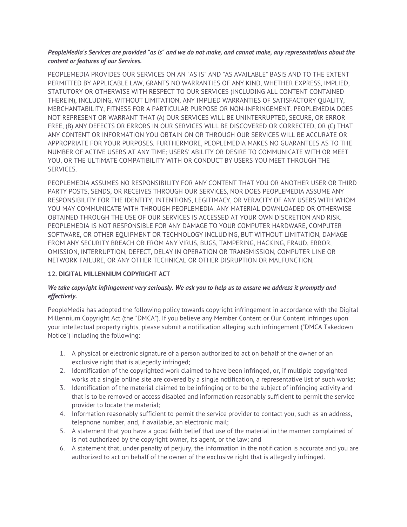# *PeopleMedia's Services are provided "as is" and we do not make, and cannot make, any representations about the content or features of our Services.*

PEOPLEMEDIA PROVIDES OUR SERVICES ON AN "AS IS" AND "AS AVAILABLE" BASIS AND TO THE EXTENT PERMITTED BY APPLICABLE LAW, GRANTS NO WARRANTIES OF ANY KIND, WHETHER EXPRESS, IMPLIED, STATUTORY OR OTHERWISE WITH RESPECT TO OUR SERVICES (INCLUDING ALL CONTENT CONTAINED THEREIN), INCLUDING, WITHOUT LIMITATION, ANY IMPLIED WARRANTIES OF SATISFACTORY QUALITY, MERCHANTABILITY, FITNESS FOR A PARTICULAR PURPOSE OR NON-INFRINGEMENT. PEOPLEMEDIA DOES NOT REPRESENT OR WARRANT THAT (A) OUR SERVICES WILL BE UNINTERRUPTED, SECURE, OR ERROR FREE, (B) ANY DEFECTS OR ERRORS IN OUR SERVICES WILL BE DISCOVERED OR CORRECTED, OR (C) THAT ANY CONTENT OR INFORMATION YOU OBTAIN ON OR THROUGH OUR SERVICES WILL BE ACCURATE OR APPROPRIATE FOR YOUR PURPOSES. FURTHERMORE, PEOPLEMEDIA MAKES NO GUARANTEES AS TO THE NUMBER OF ACTIVE USERS AT ANY TIME; USERS' ABILITY OR DESIRE TO COMMUNICATE WITH OR MEET YOU, OR THE ULTIMATE COMPATIBILITY WITH OR CONDUCT BY USERS YOU MEET THROUGH THE SERVICES.

PEOPLEMEDIA ASSUMES NO RESPONSIBILITY FOR ANY CONTENT THAT YOU OR ANOTHER USER OR THIRD PARTY POSTS, SENDS, OR RECEIVES THROUGH OUR SERVICES, NOR DOES PEOPLEMEDIA ASSUME ANY RESPONSIBILITY FOR THE IDENTITY, INTENTIONS, LEGITIMACY, OR VERACITY OF ANY USERS WITH WHOM YOU MAY COMMUNICATE WITH THROUGH PEOPLEMEDIA. ANY MATERIAL DOWNLOADED OR OTHERWISE OBTAINED THROUGH THE USE OF OUR SERVICES IS ACCESSED AT YOUR OWN DISCRETION AND RISK. PEOPLEMEDIA IS NOT RESPONSIBLE FOR ANY DAMAGE TO YOUR COMPUTER HARDWARE, COMPUTER SOFTWARE, OR OTHER EQUIPMENT OR TECHNOLOGY INCLUDING, BUT WITHOUT LIMITATION, DAMAGE FROM ANY SECURITY BREACH OR FROM ANY VIRUS, BUGS, TAMPERING, HACKING, FRAUD, ERROR, OMISSION, INTERRUPTION, DEFECT, DELAY IN OPERATION OR TRANSMISSION, COMPUTER LINE OR NETWORK FAILURE, OR ANY OTHER TECHNICAL OR OTHER DISRUPTION OR MALFUNCTION.

# **12. DIGITAL MILLENNIUM COPYRIGHT ACT**

# *We take copyright infringement very seriously. We ask you to help us to ensure we address it promptly and effectively.*

PeopleMedia has adopted the following policy towards copyright infringement in accordance with the Digital Millennium Copyright Act (the "DMCA"). If you believe any Member Content or Our Content infringes upon your intellectual property rights, please submit a notification alleging such infringement ("DMCA Takedown Notice") including the following:

- 1. A physical or electronic signature of a person authorized to act on behalf of the owner of an exclusive right that is allegedly infringed;
- 2. Identification of the copyrighted work claimed to have been infringed, or, if multiple copyrighted works at a single online site are covered by a single notification, a representative list of such works;
- 3. Identification of the material claimed to be infringing or to be the subject of infringing activity and that is to be removed or access disabled and information reasonably sufficient to permit the service provider to locate the material;
- 4. Information reasonably sufficient to permit the service provider to contact you, such as an address, telephone number, and, if available, an electronic mail;
- 5. A statement that you have a good faith belief that use of the material in the manner complained of is not authorized by the copyright owner, its agent, or the law; and
- 6. A statement that, under penalty of perjury, the information in the notification is accurate and you are authorized to act on behalf of the owner of the exclusive right that is allegedly infringed.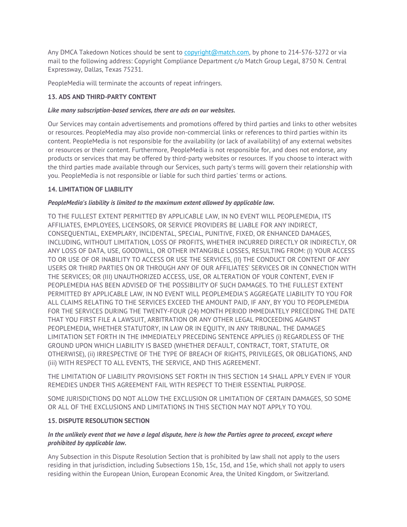Any DMCA Takedown Notices should be sent to copyright@match.com, by phone to 214-576-3272 or via mail to the following address: Copyright Compliance Department c/o Match Group Legal, 8750 N. Central Expressway, Dallas, Texas 75231.

PeopleMedia will terminate the accounts of repeat infringers.

# **13. ADS AND THIRD-PARTY CONTENT**

# *Like many subscription-based services, there are ads on our websites.*

Our Services may contain advertisements and promotions offered by third parties and links to other websites or resources. PeopleMedia may also provide non-commercial links or references to third parties within its content. PeopleMedia is not responsible for the availability (or lack of availability) of any external websites or resources or their content. Furthermore, PeopleMedia is not responsible for, and does not endorse, any products or services that may be offered by third-party websites or resources. If you choose to interact with the third parties made available through our Services, such party's terms will govern their relationship with you. PeopleMedia is not responsible or liable for such third parties' terms or actions.

# **14. LIMITATION OF LIABILITY**

# *PeopleMedia's liability is limited to the maximum extent allowed by applicable law.*

TO THE FULLEST EXTENT PERMITTED BY APPLICABLE LAW, IN NO EVENT WILL PEOPLEMEDIA, ITS AFFILIATES, EMPLOYEES, LICENSORS, OR SERVICE PROVIDERS BE LIABLE FOR ANY INDIRECT, CONSEQUENTIAL, EXEMPLARY, INCIDENTAL, SPECIAL, PUNITIVE, FIXED, OR ENHANCED DAMAGES, INCLUDING, WITHOUT LIMITATION, LOSS OF PROFITS, WHETHER INCURRED DIRECTLY OR INDIRECTLY, OR ANY LOSS OF DATA, USE, GOODWILL, OR OTHER INTANGIBLE LOSSES, RESULTING FROM: (I) YOUR ACCESS TO OR USE OF OR INABILITY TO ACCESS OR USE THE SERVICES, (II) THE CONDUCT OR CONTENT OF ANY USERS OR THIRD PARTIES ON OR THROUGH ANY OF OUR AFFILIATES' SERVICES OR IN CONNECTION WITH THE SERVICES; OR (III) UNAUTHORIZED ACCESS, USE, OR ALTERATION OF YOUR CONTENT, EVEN IF PEOPLEMEDIA HAS BEEN ADVISED OF THE POSSIBILITY OF SUCH DAMAGES. TO THE FULLEST EXTENT PERMITTED BY APPLICABLE LAW, IN NO EVENT WILL PEOPLEMEDIA'S AGGREGATE LIABILITY TO YOU FOR ALL CLAIMS RELATING TO THE SERVICES EXCEED THE AMOUNT PAID, IF ANY, BY YOU TO PEOPLEMEDIA FOR THE SERVICES DURING THE TWENTY-FOUR (24) MONTH PERIOD IMMEDIATELY PRECEDING THE DATE THAT YOU FIRST FILE A LAWSUIT, ARBITRATION OR ANY OTHER LEGAL PROCEEDING AGAINST PEOPLEMEDIA, WHETHER STATUTORY, IN LAW OR IN EQUITY, IN ANY TRIBUNAL. THE DAMAGES LIMITATION SET FORTH IN THE IMMEDIATELY PRECEDING SENTENCE APPLIES (i) REGARDLESS OF THE GROUND UPON WHICH LIABILITY IS BASED (WHETHER DEFAULT, CONTRACT, TORT, STATUTE, OR OTHERWISE), (ii) IRRESPECTIVE OF THE TYPE OF BREACH OF RIGHTS, PRIVILEGES, OR OBLIGATIONS, AND (iii) WITH RESPECT TO ALL EVENTS, THE SERVICE, AND THIS AGREEMENT.

THE LIMITATION OF LIABILITY PROVISIONS SET FORTH IN THIS SECTION 14 SHALL APPLY EVEN IF YOUR REMEDIES UNDER THIS AGREEMENT FAIL WITH RESPECT TO THEIR ESSENTIAL PURPOSE.

SOME JURISDICTIONS DO NOT ALLOW THE EXCLUSION OR LIMITATION OF CERTAIN DAMAGES, SO SOME OR ALL OF THE EXCLUSIONS AND LIMITATIONS IN THIS SECTION MAY NOT APPLY TO YOU.

#### **15. DISPUTE RESOLUTION SECTION**

# *In the unlikely event that we have a legal dispute, here is how the Parties agree to proceed, except where prohibited by applicable law.*

Any Subsection in this Dispute Resolution Section that is prohibited by law shall not apply to the users residing in that jurisdiction, including Subsections 15b, 15c, 15d, and 15e, which shall not apply to users residing within the European Union, European Economic Area, the United Kingdom, or Switzerland.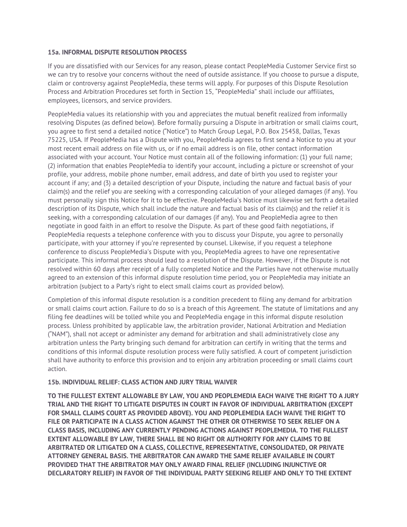# **15a. INFORMAL DISPUTE RESOLUTION PROCESS**

If you are dissatisfied with our Services for any reason, please contact PeopleMedia Customer Service first so we can try to resolve your concerns without the need of outside assistance. If you choose to pursue a dispute, claim or controversy against PeopleMedia, these terms will apply. For purposes of this Dispute Resolution Process and Arbitration Procedures set forth in Section 15, "PeopleMedia" shall include our affiliates, employees, licensors, and service providers.

PeopleMedia values its relationship with you and appreciates the mutual benefit realized from informally resolving Disputes (as defined below). Before formally pursuing a Dispute in arbitration or small claims court, you agree to first send a detailed notice ("Notice") to Match Group Legal, P.O. Box 25458, Dallas, Texas 75225, USA. If PeopleMedia has a Dispute with you, PeopleMedia agrees to first send a Notice to you at your most recent email address on file with us, or if no email address is on file, other contact information associated with your account. Your Notice must contain all of the following information: (1) your full name; (2) information that enables PeopleMedia to identify your account, including a picture or screenshot of your profile, your address, mobile phone number, email address, and date of birth you used to register your account if any; and (3) a detailed description of your Dispute, including the nature and factual basis of your claim(s) and the relief you are seeking with a corresponding calculation of your alleged damages (if any). You must personally sign this Notice for it to be effective. PeopleMedia's Notice must likewise set forth a detailed description of its Dispute, which shall include the nature and factual basis of its claim(s) and the relief it is seeking, with a corresponding calculation of our damages (if any). You and PeopleMedia agree to then negotiate in good faith in an effort to resolve the Dispute. As part of these good faith negotiations, if PeopleMedia requests a telephone conference with you to discuss your Dispute, you agree to personally participate, with your attorney if you're represented by counsel. Likewise, if you request a telephone conference to discuss PeopleMedia's Dispute with you, PeopleMedia agrees to have one representative participate. This informal process should lead to a resolution of the Dispute. However, if the Dispute is not resolved within 60 days after receipt of a fully completed Notice and the Parties have not otherwise mutually agreed to an extension of this informal dispute resolution time period, you or PeopleMedia may initiate an arbitration (subject to a Party's right to elect small claims court as provided below).

Completion of this informal dispute resolution is a condition precedent to filing any demand for arbitration or small claims court action. Failure to do so is a breach of this Agreement. The statute of limitations and any filing fee deadlines will be tolled while you and PeopleMedia engage in this informal dispute resolution process. Unless prohibited by applicable law, the arbitration provider, National Arbitration and Mediation ("NAM"), shall not accept or administer any demand for arbitration and shall administratively close any arbitration unless the Party bringing such demand for arbitration can certify in writing that the terms and conditions of this informal dispute resolution process were fully satisfied. A court of competent jurisdiction shall have authority to enforce this provision and to enjoin any arbitration proceeding or small claims court action.

# **15b. INDIVIDUAL RELIEF: CLASS ACTION AND JURY TRIAL WAIVER**

**TO THE FULLEST EXTENT ALLOWABLE BY LAW, YOU AND PEOPLEMEDIA EACH WAIVE THE RIGHT TO A JURY TRIAL AND THE RIGHT TO LITIGATE DISPUTES IN COURT IN FAVOR OF INDIVIDUAL ARBITRATION (EXCEPT FOR SMALL CLAIMS COURT AS PROVIDED ABOVE). YOU AND PEOPLEMEDIA EACH WAIVE THE RIGHT TO FILE OR PARTICIPATE IN A CLASS ACTION AGAINST THE OTHER OR OTHERWISE TO SEEK RELIEF ON A CLASS BASIS, INCLUDING ANY CURRENTLY PENDING ACTIONS AGAINST PEOPLEMEDIA. TO THE FULLEST EXTENT ALLOWABLE BY LAW, THERE SHALL BE NO RIGHT OR AUTHORITY FOR ANY CLAIMS TO BE ARBITRATED OR LITIGATED ON A CLASS, COLLECTIVE, REPRESENTATIVE, CONSOLIDATED, OR PRIVATE ATTORNEY GENERAL BASIS. THE ARBITRATOR CAN AWARD THE SAME RELIEF AVAILABLE IN COURT PROVIDED THAT THE ARBITRATOR MAY ONLY AWARD FINAL RELIEF (INCLUDING INJUNCTIVE OR DECLARATORY RELIEF) IN FAVOR OF THE INDIVIDUAL PARTY SEEKING RELIEF AND ONLY TO THE EXTENT**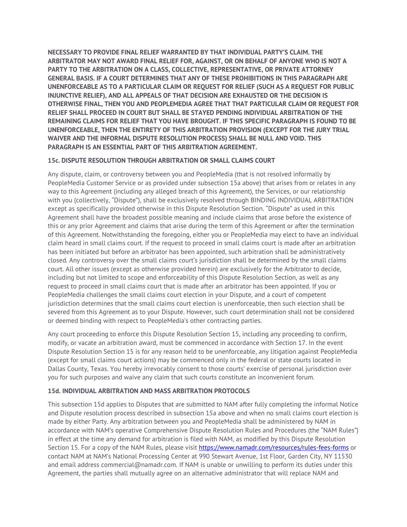**NECESSARY TO PROVIDE FINAL RELIEF WARRANTED BY THAT INDIVIDUAL PARTY'S CLAIM. THE ARBITRATOR MAY NOT AWARD FINAL RELIEF FOR, AGAINST, OR ON BEHALF OF ANYONE WHO IS NOT A PARTY TO THE ARBITRATION ON A CLASS, COLLECTIVE, REPRESENTATIVE, OR PRIVATE ATTORNEY GENERAL BASIS. IF A COURT DETERMINES THAT ANY OF THESE PROHIBITIONS IN THIS PARAGRAPH ARE UNENFORCEABLE AS TO A PARTICULAR CLAIM OR REQUEST FOR RELIEF (SUCH AS A REQUEST FOR PUBLIC INJUNCTIVE RELIEF), AND ALL APPEALS OF THAT DECISION ARE EXHAUSTED OR THE DECISION IS OTHERWISE FINAL, THEN YOU AND PEOPLEMEDIA AGREE THAT THAT PARTICULAR CLAIM OR REQUEST FOR RELIEF SHALL PROCEED IN COURT BUT SHALL BE STAYED PENDING INDIVIDUAL ARBITRATION OF THE REMAINING CLAIMS FOR RELIEF THAT YOU HAVE BROUGHT. IF THIS SPECIFIC PARAGRAPH IS FOUND TO BE UNENFORCEABLE, THEN THE ENTIRETY OF THIS ARBITRATION PROVISION (EXCEPT FOR THE JURY TRIAL WAIVER AND THE INFORMAL DISPUTE RESOLUTION PROCESS) SHALL BE NULL AND VOID. THIS PARAGRAPH IS AN ESSENTIAL PART OF THIS ARBITRATION AGREEMENT.** 

# **15c. DISPUTE RESOLUTION THROUGH ARBITRATION OR SMALL CLAIMS COURT**

Any dispute, claim, or controversy between you and PeopleMedia (that is not resolved informally by PeopleMedia Customer Service or as provided under subsection 15a above) that arises from or relates in any way to this Agreement (including any alleged breach of this Agreement), the Services, or our relationship with you (collectively, "Dispute"), shall be exclusively resolved through BINDING INDIVIDUAL ARBITRATION except as specifically provided otherwise in this Dispute Resolution Section. "Dispute" as used in this Agreement shall have the broadest possible meaning and include claims that arose before the existence of this or any prior Agreement and claims that arise during the term of this Agreement or after the termination of this Agreement. Notwithstanding the foregoing, either you or PeopleMedia may elect to have an individual claim heard in small claims court. If the request to proceed in small claims court is made after an arbitration has been initiated but before an arbitrator has been appointed, such arbitration shall be administratively closed. Any controversy over the small claims court's jurisdiction shall be determined by the small claims court. All other issues (except as otherwise provided herein) are exclusively for the Arbitrator to decide, including but not limited to scope and enforceability of this Dispute Resolution Section, as well as any request to proceed in small claims court that is made after an arbitrator has been appointed. If you or PeopleMedia challenges the small claims court election in your Dispute, and a court of competent jurisdiction determines that the small claims court election is unenforceable, then such election shall be severed from this Agreement as to your Dispute. However, such court determination shall not be considered or deemed binding with respect to PeopleMedia's other contracting parties.

Any court proceeding to enforce this Dispute Resolution Section 15, including any proceeding to confirm, modify, or vacate an arbitration award, must be commenced in accordance with Section 17. In the event Dispute Resolution Section 15 is for any reason held to be unenforceable, any litigation against PeopleMedia (except for small claims court actions) may be commenced only in the federal or state courts located in Dallas County, Texas. You hereby irrevocably consent to those courts' exercise of personal jurisdiction over you for such purposes and waive any claim that such courts constitute an inconvenient forum.

# **15d. INDIVIDUAL ARBITRATION AND MASS ARBITRATION PROTOCOLS**

This subsection 15d applies to Disputes that are submitted to NAM after fully completing the informal Notice and Dispute resolution process described in subsection 15a above and when no small claims court election is made by either Party. Any arbitration between you and PeopleMedia shall be administered by NAM in accordance with NAM's operative Comprehensive Dispute Resolution Rules and Procedures (the "NAM Rules") in effect at the time any demand for arbitration is filed with NAM, as modified by this Dispute Resolution Section 15. For a copy of the NAM Rules, please visit https://www.namadr.com/resources/rules-fees-forms or contact NAM at NAM's National Processing Center at 990 Stewart Avenue, 1st Floor, Garden City, NY 11530 and email address commercial@namadr.com. If NAM is unable or unwilling to perform its duties under this Agreement, the parties shall mutually agree on an alternative administrator that will replace NAM and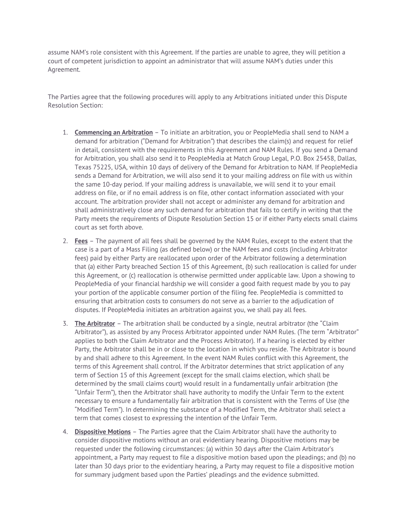assume NAM's role consistent with this Agreement. If the parties are unable to agree, they will petition a court of competent jurisdiction to appoint an administrator that will assume NAM's duties under this Agreement.

The Parties agree that the following procedures will apply to any Arbitrations initiated under this Dispute Resolution Section:

- 1. **Commencing an Arbitration** To initiate an arbitration, you or PeopleMedia shall send to NAM a demand for arbitration ("Demand for Arbitration") that describes the claim(s) and request for relief in detail, consistent with the requirements in this Agreement and NAM Rules. If you send a Demand for Arbitration, you shall also send it to PeopleMedia at Match Group Legal, P.O. Box 25458, Dallas, Texas 75225, USA, within 10 days of delivery of the Demand for Arbitration to NAM. If PeopleMedia sends a Demand for Arbitration, we will also send it to your mailing address on file with us within the same 10-day period. If your mailing address is unavailable, we will send it to your email address on file, or if no email address is on file, other contact information associated with your account. The arbitration provider shall not accept or administer any demand for arbitration and shall administratively close any such demand for arbitration that fails to certify in writing that the Party meets the requirements of Dispute Resolution Section 15 or if either Party elects small claims court as set forth above.
- 2. **Fees** The payment of all fees shall be governed by the NAM Rules, except to the extent that the case is a part of a Mass Filing (as defined below) or the NAM fees and costs (including Arbitrator fees) paid by either Party are reallocated upon order of the Arbitrator following a determination that (a) either Party breached Section 15 of this Agreement, (b) such reallocation is called for under this Agreement, or (c) reallocation is otherwise permitted under applicable law. Upon a showing to PeopleMedia of your financial hardship we will consider a good faith request made by you to pay your portion of the applicable consumer portion of the filing fee. PeopleMedia is committed to ensuring that arbitration costs to consumers do not serve as a barrier to the adjudication of disputes. If PeopleMedia initiates an arbitration against you, we shall pay all fees.
- 3. **The Arbitrator** The arbitration shall be conducted by a single, neutral arbitrator (the "Claim Arbitrator"), as assisted by any Process Arbitrator appointed under NAM Rules. (The term "Arbitrator" applies to both the Claim Arbitrator and the Process Arbitrator). If a hearing is elected by either Party, the Arbitrator shall be in or close to the location in which you reside. The Arbitrator is bound by and shall adhere to this Agreement. In the event NAM Rules conflict with this Agreement, the terms of this Agreement shall control. If the Arbitrator determines that strict application of any term of Section 15 of this Agreement (except for the small claims election, which shall be determined by the small claims court) would result in a fundamentally unfair arbitration (the "Unfair Term"), then the Arbitrator shall have authority to modify the Unfair Term to the extent necessary to ensure a fundamentally fair arbitration that is consistent with the Terms of Use (the "Modified Term"). In determining the substance of a Modified Term, the Arbitrator shall select a term that comes closest to expressing the intention of the Unfair Term.
- 4. **Dispositive Motions** The Parties agree that the Claim Arbitrator shall have the authority to consider dispositive motions without an oral evidentiary hearing. Dispositive motions may be requested under the following circumstances: (a) within 30 days after the Claim Arbitrator's appointment, a Party may request to file a dispositive motion based upon the pleadings; and (b) no later than 30 days prior to the evidentiary hearing, a Party may request to file a dispositive motion for summary judgment based upon the Parties' pleadings and the evidence submitted.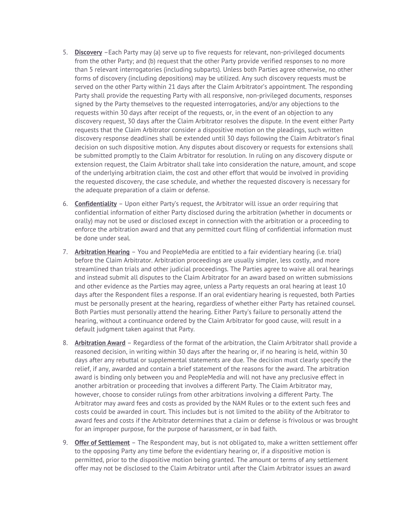- 5. **Discovery** –Each Party may (a) serve up to five requests for relevant, non-privileged documents from the other Party; and (b) request that the other Party provide verified responses to no more than 5 relevant interrogatories (including subparts). Unless both Parties agree otherwise, no other forms of discovery (including depositions) may be utilized. Any such discovery requests must be served on the other Party within 21 days after the Claim Arbitrator's appointment. The responding Party shall provide the requesting Party with all responsive, non-privileged documents, responses signed by the Party themselves to the requested interrogatories, and/or any objections to the requests within 30 days after receipt of the requests, or, in the event of an objection to any discovery request, 30 days after the Claim Arbitrator resolves the dispute. In the event either Party requests that the Claim Arbitrator consider a dispositive motion on the pleadings, such written discovery response deadlines shall be extended until 30 days following the Claim Arbitrator's final decision on such dispositive motion. Any disputes about discovery or requests for extensions shall be submitted promptly to the Claim Arbitrator for resolution. In ruling on any discovery dispute or extension request, the Claim Arbitrator shall take into consideration the nature, amount, and scope of the underlying arbitration claim, the cost and other effort that would be involved in providing the requested discovery, the case schedule, and whether the requested discovery is necessary for the adequate preparation of a claim or defense.
- 6. **Confidentiality** Upon either Party's request, the Arbitrator will issue an order requiring that confidential information of either Party disclosed during the arbitration (whether in documents or orally) may not be used or disclosed except in connection with the arbitration or a proceeding to enforce the arbitration award and that any permitted court filing of confidential information must be done under seal.
- 7. **Arbitration Hearing** You and PeopleMedia are entitled to a fair evidentiary hearing (i.e. trial) before the Claim Arbitrator. Arbitration proceedings are usually simpler, less costly, and more streamlined than trials and other judicial proceedings. The Parties agree to waive all oral hearings and instead submit all disputes to the Claim Arbitrator for an award based on written submissions and other evidence as the Parties may agree, unless a Party requests an oral hearing at least 10 days after the Respondent files a response. If an oral evidentiary hearing is requested, both Parties must be personally present at the hearing, regardless of whether either Party has retained counsel. Both Parties must personally attend the hearing. Either Party's failure to personally attend the hearing, without a continuance ordered by the Claim Arbitrator for good cause, will result in a default judgment taken against that Party.
- 8. **Arbitration Award** Regardless of the format of the arbitration, the Claim Arbitrator shall provide a reasoned decision, in writing within 30 days after the hearing or, if no hearing is held, within 30 days after any rebuttal or supplemental statements are due. The decision must clearly specify the relief, if any, awarded and contain a brief statement of the reasons for the award. The arbitration award is binding only between you and PeopleMedia and will not have any preclusive effect in another arbitration or proceeding that involves a different Party. The Claim Arbitrator may, however, choose to consider rulings from other arbitrations involving a different Party. The Arbitrator may award fees and costs as provided by the NAM Rules or to the extent such fees and costs could be awarded in court. This includes but is not limited to the ability of the Arbitrator to award fees and costs if the Arbitrator determines that a claim or defense is frivolous or was brought for an improper purpose, for the purpose of harassment, or in bad faith.
- 9. **Offer of Settlement** The Respondent may, but is not obligated to, make a written settlement offer to the opposing Party any time before the evidentiary hearing or, if a dispositive motion is permitted, prior to the dispositive motion being granted. The amount or terms of any settlement offer may not be disclosed to the Claim Arbitrator until after the Claim Arbitrator issues an award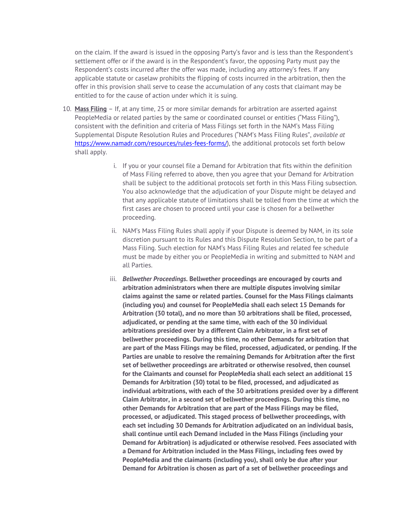on the claim. If the award is issued in the opposing Party's favor and is less than the Respondent's settlement offer or if the award is in the Respondent's favor, the opposing Party must pay the Respondent's costs incurred after the offer was made, including any attorney's fees. If any applicable statute or caselaw prohibits the flipping of costs incurred in the arbitration, then the offer in this provision shall serve to cease the accumulation of any costs that claimant may be entitled to for the cause of action under which it is suing.

- 10. **Mass Filing** If, at any time, 25 or more similar demands for arbitration are asserted against PeopleMedia or related parties by the same or coordinated counsel or entities ("Mass Filing"), consistent with the definition and criteria of Mass Filings set forth in the NAM's Mass Filing Supplemental Dispute Resolution Rules and Procedures ("NAM's Mass Filing Rules", *available at* https://www.namadr.com/resources/rules-fees-forms/), the additional protocols set forth below shall apply.
	- i. If you or your counsel file a Demand for Arbitration that fits within the definition of Mass Filing referred to above, then you agree that your Demand for Arbitration shall be subject to the additional protocols set forth in this Mass Filing subsection. You also acknowledge that the adjudication of your Dispute might be delayed and that any applicable statute of limitations shall be tolled from the time at which the first cases are chosen to proceed until your case is chosen for a bellwether proceeding.
	- ii. NAM's Mass Filing Rules shall apply if your Dispute is deemed by NAM, in its sole discretion pursuant to its Rules and this Dispute Resolution Section, to be part of a Mass Filing. Such election for NAM's Mass Filing Rules and related fee schedule must be made by either you or PeopleMedia in writing and submitted to NAM and all Parties.
	- iii. *Bellwether Proceedings***. Bellwether proceedings are encouraged by courts and arbitration administrators when there are multiple disputes involving similar claims against the same or related parties. Counsel for the Mass Filings claimants (including you) and counsel for PeopleMedia shall each select 15 Demands for Arbitration (30 total), and no more than 30 arbitrations shall be filed, processed, adjudicated, or pending at the same time, with each of the 30 individual arbitrations presided over by a different Claim Arbitrator, in a first set of bellwether proceedings. During this time, no other Demands for arbitration that are part of the Mass Filings may be filed, processed, adjudicated, or pending. If the Parties are unable to resolve the remaining Demands for Arbitration after the first set of bellwether proceedings are arbitrated or otherwise resolved, then counsel for the Claimants and counsel for PeopleMedia shall each select an additional 15 Demands for Arbitration (30) total to be filed, processed, and adjudicated as individual arbitrations, with each of the 30 arbitrations presided over by a different Claim Arbitrator, in a second set of bellwether proceedings. During this time, no other Demands for Arbitration that are part of the Mass Filings may be filed, processed, or adjudicated. This staged process of bellwether proceedings, with each set including 30 Demands for Arbitration adjudicated on an individual basis, shall continue until each Demand included in the Mass Filings (including your Demand for Arbitration) is adjudicated or otherwise resolved. Fees associated with a Demand for Arbitration included in the Mass Filings, including fees owed by PeopleMedia and the claimants (including you), shall only be due after your Demand for Arbitration is chosen as part of a set of bellwether proceedings and**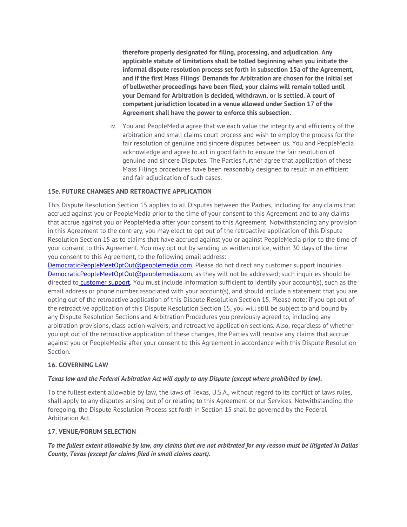**therefore properly designated for filing, processing, and adjudication. Any applicable statute of limitations shall be tolled beginning when you initiate the informal dispute resolution process set forth in subsection 15a of the Agreement, and if the first Mass Filings' Demands for Arbitration are chosen for the initial set of bellwether proceedings have been filed, your claims will remain tolled until your Demand for Arbitration is decided, withdrawn, or is settled. A court of competent jurisdiction located in a venue allowed under Section 17 of the Agreement shall have the power to enforce this subsection.**

iv. You and PeopleMedia agree that we each value the integrity and efficiency of the arbitration and small claims court process and wish to employ the process for the fair resolution of genuine and sincere disputes between us. You and PeopleMedia acknowledge and agree to act in good faith to ensure the fair resolution of genuine and sincere Disputes. The Parties further agree that application of these Mass Filings procedures have been reasonably designed to result in an efficient and fair adjudication of such cases.

# **15e. FUTURE CHANGES AND RETROACTIVE APPLICATION**

This Dispute Resolution Section 15 applies to all Disputes between the Parties, including for any claims that accrued against you or PeopleMedia prior to the time of your consent to this Agreement and to any claims that accrue against you or PeopleMedia after your consent to this Agreement. Notwithstanding any provision in this Agreement to the contrary, you may elect to opt out of the retroactive application of this Dispute Resolution Section 15 as to claims that have accrued against you or against PeopleMedia prior to the time of your consent to this Agreement. You may opt out by sending us written notice, within 30 days of the time you consent to this Agreement, to the following email address:

DemocraticPeopleMeetOptOut@peoplemedia.com. Please do not direct any customer support inquiries DemocraticPeopleMeetOptOut@peoplemedia.com, as they will not be addressed; such inquiries should be directed to customer support. You must include information sufficient to identify your account(s), such as the email address or phone number associated with your account(s), and should include a statement that you are opting out of the retroactive application of this Dispute Resolution Section 15. Please note: if you opt out of the retroactive application of this Dispute Resolution Section 15, you will still be subject to and bound by any Dispute Resolution Sections and Arbitration Procedures you previously agreed to, including any arbitration provisions, class action waivers, and retroactive application sections. Also, regardless of whether you opt out of the retroactive application of these changes, the Parties will resolve any claims that accrue against you or PeopleMedia after your consent to this Agreement in accordance with this Dispute Resolution Section.

#### **16. GOVERNING LAW**

#### *Texas law and the Federal Arbitration Act will apply to any Dispute (except where prohibited by law).*

To the fullest extent allowable by law, the laws of Texas, U.S.A., without regard to its conflict of laws rules, shall apply to any disputes arising out of or relating to this Agreement or our Services. Notwithstanding the foregoing, the Dispute Resolution Process set forth in Section 15 shall be governed by the Federal Arbitration Act.

#### **17. VENUE/FORUM SELECTION**

*To the fullest extent allowable by law, any claims that are not arbitrated for any reason must be litigated in Dallas County, Texas (except for claims filed in small claims court).*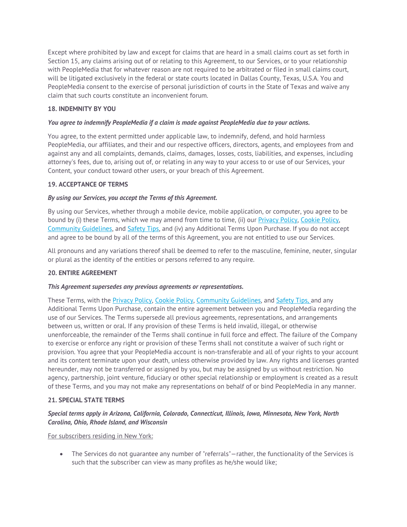Except where prohibited by law and except for claims that are heard in a small claims court as set forth in Section 15, any claims arising out of or relating to this Agreement, to our Services, or to your relationship with PeopleMedia that for whatever reason are not required to be arbitrated or filed in small claims court, will be litigated exclusively in the federal or state courts located in Dallas County, Texas, U.S.A. You and PeopleMedia consent to the exercise of personal jurisdiction of courts in the State of Texas and waive any claim that such courts constitute an inconvenient forum.

# **18. INDEMNITY BY YOU**

# *You agree to indemnify PeopleMedia if a claim is made against PeopleMedia due to your actions.*

You agree, to the extent permitted under applicable law, to indemnify, defend, and hold harmless PeopleMedia, our affiliates, and their and our respective officers, directors, agents, and employees from and against any and all complaints, demands, claims, damages, losses, costs, liabilities, and expenses, including attorney's fees, due to, arising out of, or relating in any way to your access to or use of our Services, your Content, your conduct toward other users, or your breach of this Agreement.

# **19. ACCEPTANCE OF TERMS**

# *By using our Services, you accept the Terms of this Agreement.*

By using our Services, whether through a mobile device, mobile application, or computer, you agree to be bound by (i) these Terms, which we may amend from time to time, (ii) our Privacy Policy, Cookie Policy, Community Guidelines, and Safety Tips, and (iv) any Additional Terms Upon Purchase. If you do not accept and agree to be bound by all of the terms of this Agreement, you are not entitled to use our Services.

All pronouns and any variations thereof shall be deemed to refer to the masculine, feminine, neuter, singular or plural as the identity of the entities or persons referred to any require.

# **20. ENTIRE AGREEMENT**

#### *This Agreement supersedes any previous agreements or representations.*

These Terms, with the Privacy Policy, Cookie Policy, Community Guidelines, and Safety Tips, and any Additional Terms Upon Purchase, contain the entire agreement between you and PeopleMedia regarding the use of our Services. The Terms supersede all previous agreements, representations, and arrangements between us, written or oral. If any provision of these Terms is held invalid, illegal, or otherwise unenforceable, the remainder of the Terms shall continue in full force and effect. The failure of the Company to exercise or enforce any right or provision of these Terms shall not constitute a waiver of such right or provision. You agree that your PeopleMedia account is non-transferable and all of your rights to your account and its content terminate upon your death, unless otherwise provided by law. Any rights and licenses granted hereunder, may not be transferred or assigned by you, but may be assigned by us without restriction. No agency, partnership, joint venture, fiduciary or other special relationship or employment is created as a result of these Terms, and you may not make any representations on behalf of or bind PeopleMedia in any manner.

#### **21. SPECIAL STATE TERMS**

# *Special terms apply in Arizona, California, Colorado, Connecticut, Illinois, Iowa, Minnesota, New York, North Carolina, Ohio, Rhode Island, and Wisconsin*

For subscribers residing in New York:

 The Services do not guarantee any number of "referrals"—rather, the functionality of the Services is such that the subscriber can view as many profiles as he/she would like;